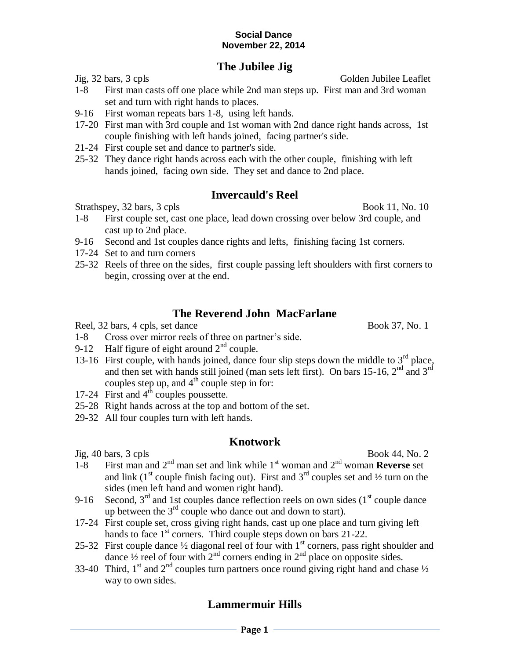#### **Social Dance November 22, 2014**

## **The Jubilee Jig**

Jig, 32 bars, 3 cpls Golden Jubilee Leaflet

- 1-8 First man casts off one place while 2nd man steps up. First man and 3rd woman set and turn with right hands to places.
- 9-16 First woman repeats bars 1-8, using left hands.
- 17-20 First man with 3rd couple and 1st woman with 2nd dance right hands across, 1st couple finishing with left hands joined, facing partner's side.
- 21-24 First couple set and dance to partner's side.
- 25-32 They dance right hands across each with the other couple, finishing with left hands joined, facing own side. They set and dance to 2nd place.

### **Invercauld's Reel**

Strathspey, 32 bars, 3 cpls Book 11, No. 10

- 1-8 First couple set, cast one place, lead down crossing over below 3rd couple, and cast up to 2nd place.
- 9-16 Second and 1st couples dance rights and lefts, finishing facing 1st corners.
- 17-24 Set to and turn corners
- 25-32 Reels of three on the sides, first couple passing left shoulders with first corners to begin, crossing over at the end.

## **The Reverend John MacFarlane**

Reel, 32 bars, 4 cpls, set dance Book 37, No. 1

- 1-8 Cross over mirror reels of three on partner's side.
- 9-12 Half figure of eight around  $2<sup>nd</sup>$  couple.
- 13-16 First couple, with hands joined, dance four slip steps down the middle to 3<sup>rd</sup> place, and then set with hands still joined (man sets left first). On bars 15-16, 2<sup>nd</sup> and 3<sup>rd</sup> couples step up, and  $4<sup>th</sup>$  couple step in for:
- 17-24 First and  $4<sup>th</sup>$  couples poussette.
- 25-28 Right hands across at the top and bottom of the set.
- 29-32 All four couples turn with left hands.

#### **Knotwork**

 $\mu$  Jig, 40 bars, 3 cpls Book 44, No. 2

- 1-8 First man and  $2<sup>nd</sup>$  man set and link while 1<sup>st</sup> woman and  $2<sup>nd</sup>$  woman **Reverse** set and link  $(1<sup>st</sup> \text{ couple finish facing out})$ . First and  $3<sup>rd</sup> \text{ couples set and } \frac{1}{2}$  turn on the sides (men left hand and women right hand).
- 9-16 Second,  $3<sup>rd</sup>$  and 1st couples dance reflection reels on own sides (1<sup>st</sup> couple dance up between the  $3<sup>rd</sup>$  couple who dance out and down to start).
- 17-24 First couple set, cross giving right hands, cast up one place and turn giving left hands to face  $1<sup>st</sup>$  corners. Third couple steps down on bars 21-22.
- 25-32 First couple dance  $\frac{1}{2}$  diagonal reel of four with 1<sup>st</sup> corners, pass right shoulder and dance  $\frac{1}{2}$  reel of four with  $2^{nd}$  corners ending in  $2^{nd}$  place on opposite sides.
- 33-40 Third, 1<sup>st</sup> and 2<sup>nd</sup> couples turn partners once round giving right hand and chase  $\frac{1}{2}$ way to own sides.

## **Lammermuir Hills**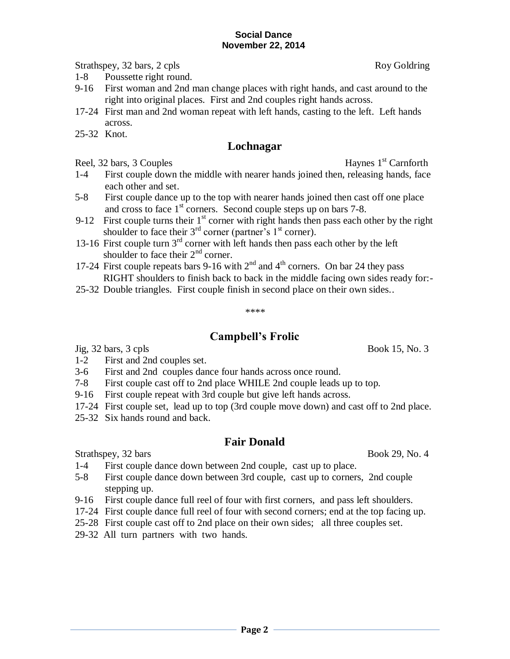Strathspey, 32 bars, 2 cpls Roy Goldring

- 1-8 Poussette right round.
- 9-16 First woman and 2nd man change places with right hands, and cast around to the right into original places. First and 2nd couples right hands across.
- 17-24 First man and 2nd woman repeat with left hands, casting to the left. Left hands across.
- 25-32 Knot.

## **Lochnagar**

Reel, 32 bars, 3 Couples Haynes  $1<sup>st</sup>$  Carnforth

- 1-4 First couple down the middle with nearer hands joined then, releasing hands, face each other and set.
- 5-8 First couple dance up to the top with nearer hands joined then cast off one place and cross to face  $1<sup>st</sup>$  corners. Second couple steps up on bars 7-8.
- 9-12 First couple turns their  $1<sup>st</sup>$  corner with right hands then pass each other by the right shoulder to face their  $3<sup>rd</sup>$  corner (partner's  $1<sup>st</sup>$  corner).
- 13-16 First couple turn 3<sup>rd</sup> corner with left hands then pass each other by the left shoulder to face their  $2<sup>nd</sup>$  corner.
- 17-24 First couple repeats bars 9-16 with  $2<sup>nd</sup>$  and  $4<sup>th</sup>$  corners. On bar 24 they pass RIGHT shoulders to finish back to back in the middle facing own sides ready for:-
- 25-32 Double triangles. First couple finish in second place on their own sides..

# **Campbell's Frolic**

\*\*\*\*

Jig, 32 bars, 3 cpls Book 15, No. 3

- 1-2 First and 2nd couples set.
- 3-6 First and 2nd couples dance four hands across once round.
- 7-8 First couple cast off to 2nd place WHILE 2nd couple leads up to top.
- 9-16 First couple repeat with 3rd couple but give left hands across.
- 17-24 First couple set, lead up to top (3rd couple move down) and cast off to 2nd place.
- 25-32 Six hands round and back.

## **Fair Donald**

Strathspey, 32 bars Book 29, No. 4

- 1-4 First couple dance down between 2nd couple, cast up to place.
- 5-8 First couple dance down between 3rd couple, cast up to corners, 2nd couple stepping up.
- 9-16 First couple dance full reel of four with first corners, and pass left shoulders.
- 17-24 First couple dance full reel of four with second corners; end at the top facing up.
- 25-28 First couple cast off to 2nd place on their own sides; all three couples set.
- 29-32 All turn partners with two hands.